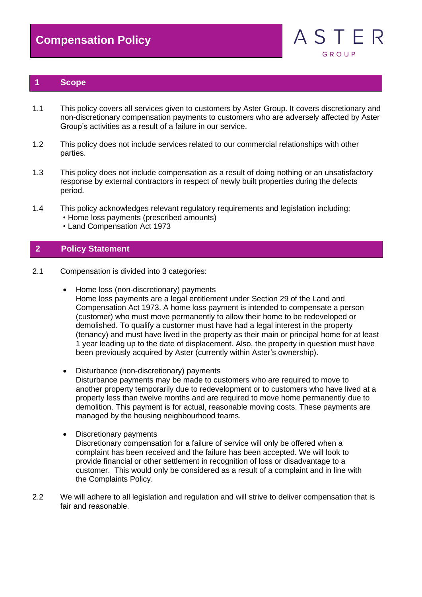

## **1 Scope**

- 1.1 This policy covers all services given to customers by Aster Group. It covers discretionary and non-discretionary compensation payments to customers who are adversely affected by Aster Group's activities as a result of a failure in our service.
- 1.2 This policy does not include services related to our commercial relationships with other parties.
- 1.3 This policy does not include compensation as a result of doing nothing or an unsatisfactory response by external contractors in respect of newly built properties during the defects period.
- 1.4 This policy acknowledges relevant regulatory requirements and legislation including: • Home loss payments (prescribed amounts)
	- Land Compensation Act 1973

## **2 Policy Statement**

- 2.1 Compensation is divided into 3 categories:
	- Home loss (non-discretionary) payments Home loss payments are a legal entitlement under Section 29 of the Land and Compensation Act 1973. A home loss payment is intended to compensate a person (customer) who must move permanently to allow their home to be redeveloped or demolished. To qualify a customer must have had a legal interest in the property (tenancy) and must have lived in the property as their main or principal home for at least 1 year leading up to the date of displacement. Also, the property in question must have been previously acquired by Aster (currently within Aster's ownership).
	- Disturbance (non-discretionary) payments Disturbance payments may be made to customers who are required to move to another property temporarily due to redevelopment or to customers who have lived at a property less than twelve months and are required to move home permanently due to demolition. This payment is for actual, reasonable moving costs. These payments are managed by the housing neighbourhood teams.
	- Discretionary payments

Discretionary compensation for a failure of service will only be offered when a complaint has been received and the failure has been accepted. We will look to provide financial or other settlement in recognition of loss or disadvantage to a customer. This would only be considered as a result of a complaint and in line with the Complaints Policy.

2.2 We will adhere to all legislation and regulation and will strive to deliver compensation that is fair and reasonable.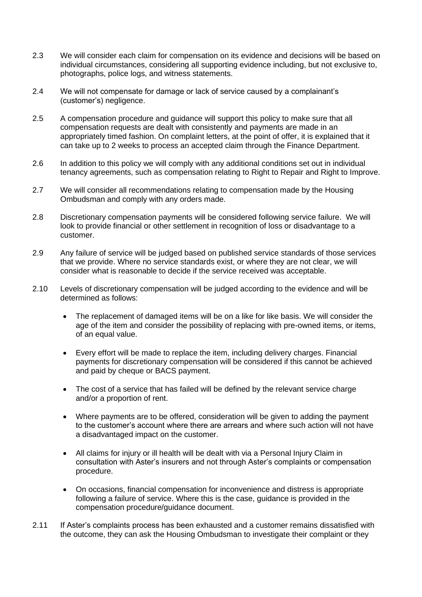- 2.3 We will consider each claim for compensation on its evidence and decisions will be based on individual circumstances, considering all supporting evidence including, but not exclusive to, photographs, police logs, and witness statements.
- 2.4 We will not compensate for damage or lack of service caused by a complainant's (customer's) negligence.
- 2.5 A compensation procedure and guidance will support this policy to make sure that all compensation requests are dealt with consistently and payments are made in an appropriately timed fashion. On complaint letters, at the point of offer, it is explained that it can take up to 2 weeks to process an accepted claim through the Finance Department.
- 2.6 In addition to this policy we will comply with any additional conditions set out in individual tenancy agreements, such as compensation relating to Right to Repair and Right to Improve.
- 2.7 We will consider all recommendations relating to compensation made by the Housing Ombudsman and comply with any orders made.
- 2.8 Discretionary compensation payments will be considered following service failure. We will look to provide financial or other settlement in recognition of loss or disadvantage to a customer.
- 2.9 Any failure of service will be judged based on published service standards of those services that we provide. Where no service standards exist, or where they are not clear, we will consider what is reasonable to decide if the service received was acceptable.
- 2.10 Levels of discretionary compensation will be judged according to the evidence and will be determined as follows:
	- The replacement of damaged items will be on a like for like basis. We will consider the age of the item and consider the possibility of replacing with pre-owned items, or items, of an equal value.
	- Every effort will be made to replace the item, including delivery charges. Financial payments for discretionary compensation will be considered if this cannot be achieved and paid by cheque or BACS payment.
	- The cost of a service that has failed will be defined by the relevant service charge and/or a proportion of rent.
	- Where payments are to be offered, consideration will be given to adding the payment to the customer's account where there are arrears and where such action will not have a disadvantaged impact on the customer.
	- All claims for injury or ill health will be dealt with via a Personal Injury Claim in consultation with Aster's insurers and not through Aster's complaints or compensation procedure.
	- On occasions, financial compensation for inconvenience and distress is appropriate following a failure of service. Where this is the case, guidance is provided in the compensation procedure/guidance document.
- 2.11 If Aster's complaints process has been exhausted and a customer remains dissatisfied with the outcome, they can ask the Housing Ombudsman to investigate their complaint or they